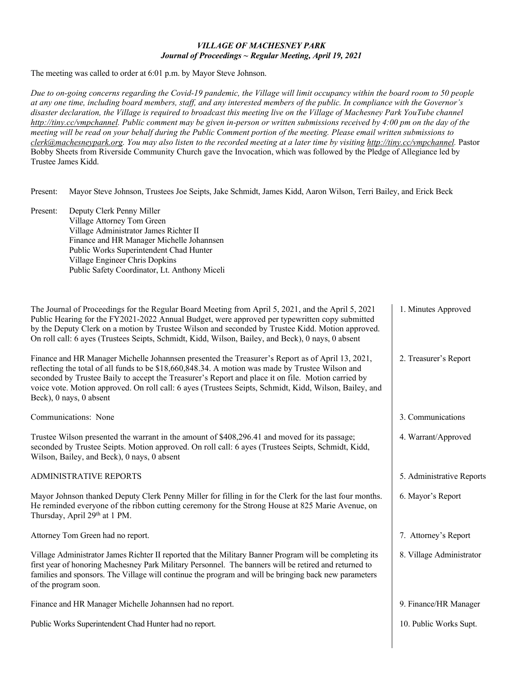## *VILLAGE OF MACHESNEY PARK Journal of Proceedings ~ Regular Meeting, April 19, 2021*

The meeting was called to order at 6:01 p.m. by Mayor Steve Johnson.

*Due to on-going concerns regarding the Covid-19 pandemic, the Village will limit occupancy within the board room to 50 people at any one time, including board members, staff, and any interested members of the public. In compliance with the Governor's disaster declaration, the Village is required to broadcast this meeting live on the Village of Machesney Park YouTube channel [http://tiny.cc/vmpchannel.](http://tiny.cc/vmpchannel) Public comment may be given in-person or written submissions received by 4:00 pm on the day of the meeting will be read on your behalf during the Public Comment portion of the meeting. Please email written submissions to [clerk@machesneypark.org.](mailto:clerk@machesneypark.org) You may also listen to the recorded meeting at a later time by visiting [http://tiny.cc/vmpchannel.](http://tiny.cc/vmpchannel)* Pastor Bobby Sheets from Riverside Community Church gave the Invocation, which was followed by the Pledge of Allegiance led by Trustee James Kidd.

Present: Mayor Steve Johnson, Trustees Joe Seipts, Jake Schmidt, James Kidd, Aaron Wilson, Terri Bailey, and Erick Beck

Present: Deputy Clerk Penny Miller Village Attorney Tom Green Village Administrator James Richter II Finance and HR Manager Michelle Johannsen Public Works Superintendent Chad Hunter Village Engineer Chris Dopkins Public Safety Coordinator, Lt. Anthony Miceli

| The Journal of Proceedings for the Regular Board Meeting from April 5, 2021, and the April 5, 2021<br>Public Hearing for the FY2021-2022 Annual Budget, were approved per typewritten copy submitted<br>by the Deputy Clerk on a motion by Trustee Wilson and seconded by Trustee Kidd. Motion approved.<br>On roll call: 6 ayes (Trustees Seipts, Schmidt, Kidd, Wilson, Bailey, and Beck), 0 nays, 0 absent                                   | 1. Minutes Approved       |
|-------------------------------------------------------------------------------------------------------------------------------------------------------------------------------------------------------------------------------------------------------------------------------------------------------------------------------------------------------------------------------------------------------------------------------------------------|---------------------------|
| Finance and HR Manager Michelle Johannsen presented the Treasurer's Report as of April 13, 2021,<br>reflecting the total of all funds to be \$18,660,848.34. A motion was made by Trustee Wilson and<br>seconded by Trustee Baily to accept the Treasurer's Report and place it on file. Motion carried by<br>voice vote. Motion approved. On roll call: 6 ayes (Trustees Seipts, Schmidt, Kidd, Wilson, Bailey, and<br>Beck), 0 nays, 0 absent | 2. Treasurer's Report     |
| Communications: None                                                                                                                                                                                                                                                                                                                                                                                                                            | 3. Communications         |
| Trustee Wilson presented the warrant in the amount of \$408,296.41 and moved for its passage;<br>seconded by Trustee Seipts. Motion approved. On roll call: 6 ayes (Trustees Seipts, Schmidt, Kidd,<br>Wilson, Bailey, and Beck), 0 nays, 0 absent                                                                                                                                                                                              | 4. Warrant/Approved       |
| <b>ADMINISTRATIVE REPORTS</b>                                                                                                                                                                                                                                                                                                                                                                                                                   | 5. Administrative Reports |
| Mayor Johnson thanked Deputy Clerk Penny Miller for filling in for the Clerk for the last four months.<br>He reminded everyone of the ribbon cutting ceremony for the Strong House at 825 Marie Avenue, on<br>Thursday, April 29th at 1 PM.                                                                                                                                                                                                     | 6. Mayor's Report         |
| Attorney Tom Green had no report.                                                                                                                                                                                                                                                                                                                                                                                                               | 7. Attorney's Report      |
| Village Administrator James Richter II reported that the Military Banner Program will be completing its<br>first year of honoring Machesney Park Military Personnel. The banners will be retired and returned to<br>families and sponsors. The Village will continue the program and will be bringing back new parameters<br>of the program soon.                                                                                               | 8. Village Administrator  |
| Finance and HR Manager Michelle Johannsen had no report.                                                                                                                                                                                                                                                                                                                                                                                        | 9. Finance/HR Manager     |
| Public Works Superintendent Chad Hunter had no report.                                                                                                                                                                                                                                                                                                                                                                                          | 10. Public Works Supt.    |
|                                                                                                                                                                                                                                                                                                                                                                                                                                                 |                           |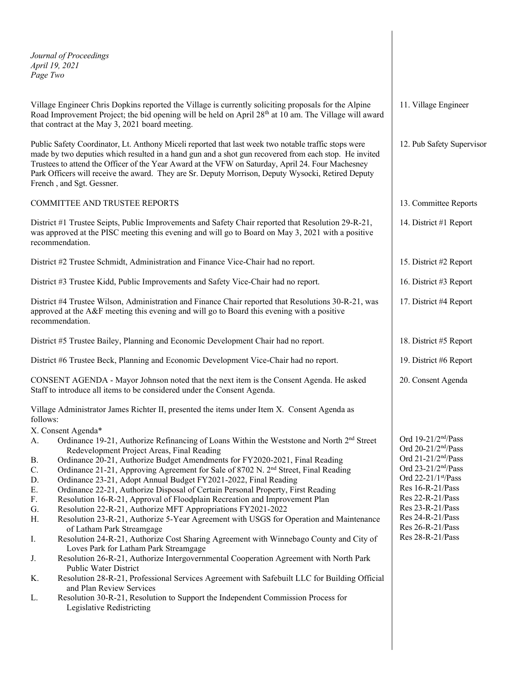*Journal of Proceedings April 19, 2021 Page Two*

Village Engineer Chris Dopkins reported the Village is currently soliciting proposals for the Alpine Road Improvement Project; the bid opening will be held on April 28<sup>th</sup> at 10 am. The Village will award that contract at the May 3, 2021 board meeting.

Public Safety Coordinator, Lt. Anthony Miceli reported that last week two notable traffic stops were made by two deputies which resulted in a hand gun and a shot gun recovered from each stop. He invited Trustees to attend the Officer of the Year Award at the VFW on Saturday, April 24. Four Machesney Park Officers will receive the award. They are Sr. Deputy Morrison, Deputy Wysocki, Retired Deputy French , and Sgt. Gessner.

COMMITTEE AND TRUSTEE REPORTS

District #1 Trustee Seipts, Public Improvements and Safety Chair reported that Resolution 29-R-21, was approved at the PISC meeting this evening and will go to Board on May 3, 2021 with a positive recommendation.

District #2 Trustee Schmidt, Administration and Finance Vice-Chair had no report.

District #3 Trustee Kidd, Public Improvements and Safety Vice-Chair had no report.

District #4 Trustee Wilson, Administration and Finance Chair reported that Resolutions 30-R-21, was approved at the A&F meeting this evening and will go to Board this evening with a positive recommendation.

District #5 Trustee Bailey, Planning and Economic Development Chair had no report.

District #6 Trustee Beck, Planning and Economic Development Vice-Chair had no report.

CONSENT AGENDA - Mayor Johnson noted that the next item is the Consent Agenda. He asked Staff to introduce all items to be considered under the Consent Agenda.

Village Administrator James Richter II, presented the items under Item X. Consent Agenda as follows:

X. Consent Agenda\*

- A. Ordinance 19-21, Authorize Refinancing of Loans Within the Weststone and North 2<sup>nd</sup> Street Redevelopment Project Areas, Final Reading
- B. Ordinance 20-21, Authorize Budget Amendments for FY2020-2021, Final Reading
- C. Ordinance 21-21, Approving Agreement for Sale of 8702 N. 2nd Street, Final Reading
- D. Ordinance 23-21, Adopt Annual Budget FY2021-2022, Final Reading
- E. Ordinance 22-21, Authorize Disposal of Certain Personal Property, First Reading
- F. Resolution 16-R-21, Approval of Floodplain Recreation and Improvement Plan
- G. Resolution 22-R-21, Authorize MFT Appropriations FY2021-2022
- H. Resolution 23-R-21, Authorize 5-Year Agreement with USGS for Operation and Maintenance of Latham Park Streamgage
- I. Resolution 24-R-21, Authorize Cost Sharing Agreement with Winnebago County and City of Loves Park for Latham Park Streamgage
- J. Resolution 26-R-21, Authorize Intergovernmental Cooperation Agreement with North Park Public Water District
- K. Resolution 28-R-21, Professional Services Agreement with Safebuilt LLC for Building Official and Plan Review Services
- L. Resolution 30-R-21, Resolution to Support the Independent Commission Process for Legislative Redistricting

11. Village Engineer

12. Pub Safety Supervisor

- 13. Committee Reports
- 14. District #1 Report

15. District #2 Report

16. District #3 Report

17. District #4 Report

18. District #5 Report

- 19. District #6 Report
- 20. Consent Agenda

Ord 19-21/2nd/Pass Ord  $20-21/2<sup>nd</sup>/Pass$ Ord 21-21/2nd/Pass Ord 23-21/2nd/Pass Ord 22-21/1st/Pass Res 16-R-21/Pass Res 22-R-21/Pass Res 23-R-21/Pass Res 24-R-21/Pass Res 26-R-21/Pass Res 28-R-21/Pass